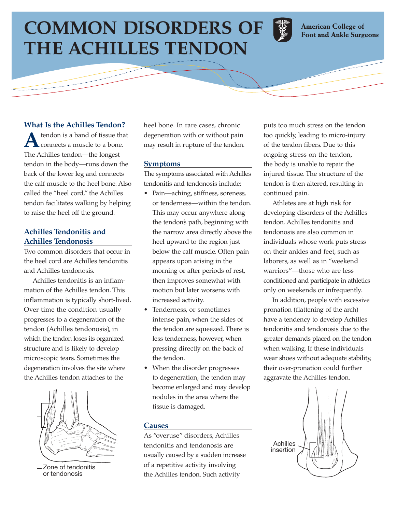# **COMMON DISORDERS OF THE ACHILLES TENDON**



**American College of Foot and Ankle Surgeons** 

# **What Is the Achilles Tendon?**

**A** tendon is a band of tissue that connects a muscle to a bone. The Achilles tendon—the longest tendon in the body—runs down the back of the lower leg and connects the calf muscle to the heel bone. Also called the "heel cord," the Achilles tendon facilitates walking by helping to raise the heel off the ground.

## **Achilles Tendonitis and Achilles Tendonosis**

Two common disorders that occur in the heel cord are Achilles tendonitis and Achilles tendonosis.

Achilles tendonitis is an inflammation of the Achilles tendon. This inflammation is typically short-lived. Over time the condition usually progresses to a degeneration of the tendon (Achilles tendonosis), in which the tendon loses its organized structure and is likely to develop microscopic tears. Sometimes the degeneration involves the site where the Achilles tendon attaches to the



Zone of tendonitis or tendonosis

heel bone. In rare cases, chronic degeneration with or without pain may result in rupture of the tendon.

### **Symptoms**

The symptoms associated with Achilles tendonitis and tendonosis include:

- Pain—aching, stiffness, soreness, or tenderness—within the tendon. This may occur anywhere along the tendon's path, beginning with the narrow area directly above the heel upward to the region just below the calf muscle. Often pain appears upon arising in the morning or after periods of rest, then improves somewhat with motion but later worsens with increased activity.
- Tenderness, or sometimes intense pain, when the sides of the tendon are squeezed. There is less tenderness, however, when pressing directly on the back of the tendon.
- When the disorder progresses to degeneration, the tendon may become enlarged and may develop nodules in the area where the tissue is damaged.

#### **Causes**

As "overuse" disorders, Achilles tendonitis and tendonosis are usually caused by a sudden increase of a repetitive activity involving the Achilles tendon. Such activity

puts too much stress on the tendon too quickly, leading to micro-injury of the tendon fibers. Due to this ongoing stress on the tendon, the body is unable to repair the injured tissue. The structure of the tendon is then altered, resulting in continued pain.

Athletes are at high risk for developing disorders of the Achilles tendon. Achilles tendonitis and tendonosis are also common in individuals whose work puts stress on their ankles and feet, such as laborers, as well as in "weekend warriors"—those who are less conditioned and participate in athletics only on weekends or infrequently.

In addition, people with excessive pronation (flattening of the arch) have a tendency to develop Achilles tendonitis and tendonosis due to the greater demands placed on the tendon when walking. If these individuals wear shoes without adequate stability, their over-pronation could further aggravate the Achilles tendon.